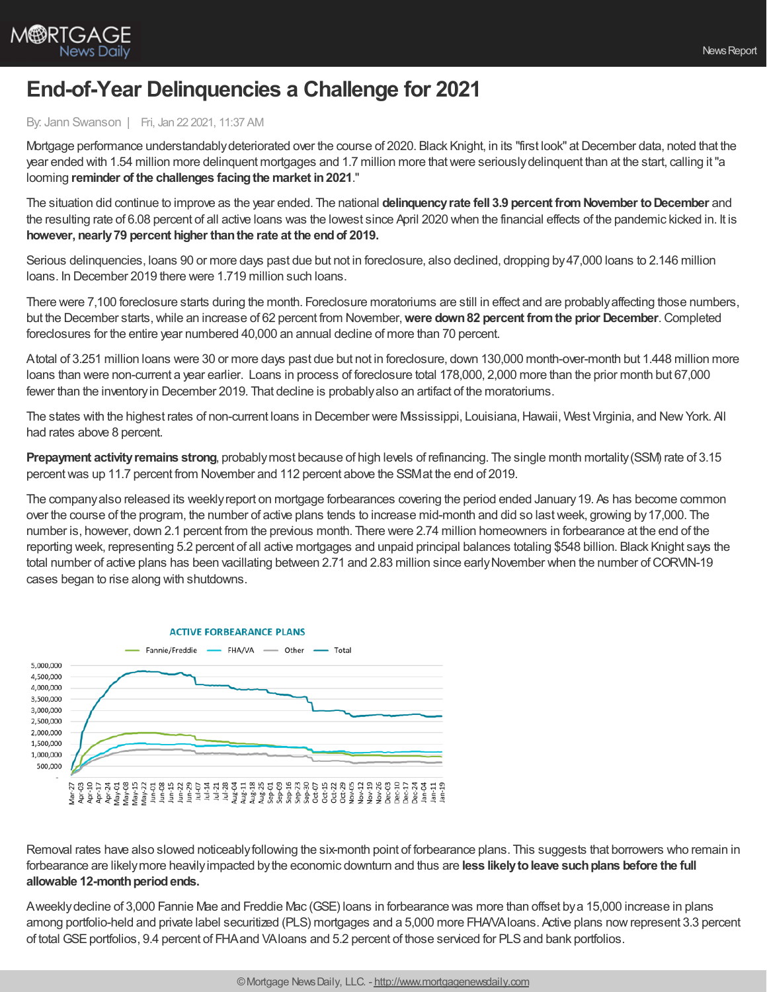

## **End-of-Year Delinquencies a Challenge for 2021**

## By: Jann Swanson | Fri, Jan 22 2021, 11:37 AM

Mortgage performance understandably deteriorated over the course of 2020. Black Knight, in its "first look" at December data, noted that the year ended with 1.54 million more delinquent mortgages and 1.7 million more thatwere seriouslydelinquent than at the start, calling it"a looming **reminder of the challenges facingthe market in2021**."

The situation did continue to improve as the year ended. The national **delinquencyrate fell 3.9 percent fromNovember toDecember** and the resulting rate of 6.08 percent of all active loans was the lowest since April 2020 when the financial effects of the pandemic kicked in. It is **however, nearly79 percent higher thanthe rate at the endof 2019.**

Serious delinquencies, loans 90 or more days past due but not in foreclosure, also declined, dropping by47,000 loans to 2.146 million loans. In December 2019 there were 1.719 million such loans.

There were 7,100 foreclosure starts during the month. Foreclosure moratoriums are still in effect and are probablyaffecting those numbers, but the December starts,while an increase of 62 percent from November,**were down82 percent fromthe prior December**.Completed foreclosures for the entire year numbered 40,000 an annual decline of more than 70 percent.

Atotal of 3.251 million loans were 30 or more days past due but not in foreclosure, down 130,000 month-over-month but 1.448 million more loans than were non-current a year earlier. Loans in process of foreclosure total 178,000, 2,000 more than the prior month but 67,000 fewer than the inventoryin December 2019. That decline is probablyalso an artifact of the moratoriums.

The states with the highest rates of non-current loans in December were Mississippi, Louisiana,Hawaii, West Virginia, and NewYork. All had rates above 8 percent.

**Prepayment activityremains strong**, probablymost because of high levels of refinancing. The single month mortality(SSM) rate of 3.15 percentwas up 11.7 percent from November and 112 percent above the SSMat the end of 2019.

The companyalso released its weeklyreport on mortgage forbearances covering the period ended January19. As has become common over the course of the program, the number of active plans tends to increase mid-month and did so lastweek, growing by17,000. The number is, however, down 2.1 percent from the previous month. There were 2.74 million homeowners in forbearance at the end of the reporting week, representing 5.2 percent of all active mortgages and unpaid principal balances totaling \$548 billion. Black Knight says the total number of active plans has been vacillating between 2.71 and 2.83 million since early November when the number of CORVIN-19 cases began to rise along with shutdowns.



Removal rates have also slowed noticeablyfollowing the six-month point of forbearance plans. This suggests that borrowers who remain in forbearance are likelymore heavilyimpacted bythe economic downturn and thus are **less likelytoleave suchplans before the full** allowable 12-month period ends.

Aweeklydecline of 3,000 Fannie Mae and Freddie Mac (GSE) loans in forbearance was more than offset bya 15,000 increase in plans among portfolio-held and private label securitized (PLS) mortgages and a 5,000 more FHA/VAloans. Active plans nowrepresent 3.3 percent of total GSE portfolios, 9.4 percent of FHA and VAIoans and 5.2 percent of those serviced for PLS and bank portfolios.